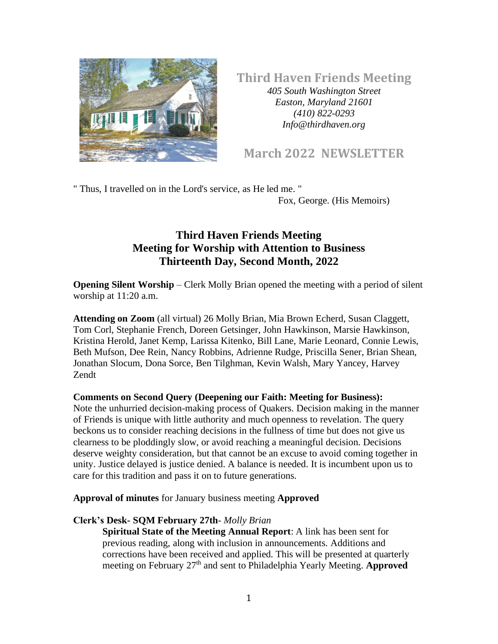

**Third Haven Friends Meeting**

*405 South Washington Street Easton, Maryland 21601 (410) 822-0293 Info@thirdhaven.org*

# **March 2022 NEWSLETTER**

" Thus, I travelled on in the Lord's service, as He led me. "

Fox, George. (His Memoirs)

# **Third Haven Friends Meeting Meeting for Worship with Attention to Business Thirteenth Day, Second Month, 2022**

**Opening Silent Worship** – Clerk Molly Brian opened the meeting with a period of silent worship at 11:20 a.m.

**Attending on Zoom** (all virtual) 26 Molly Brian, Mia Brown Echerd, Susan Claggett, Tom Corl, Stephanie French, Doreen Getsinger, John Hawkinson, Marsie Hawkinson, Kristina Herold, Janet Kemp, Larissa Kitenko, Bill Lane, Marie Leonard, Connie Lewis, Beth Mufson, Dee Rein, Nancy Robbins, Adrienne Rudge, Priscilla Sener, Brian Shean, Jonathan Slocum, Dona Sorce, Ben Tilghman, Kevin Walsh, Mary Yancey, Harvey Zendt

### **Comments on Second Query (Deepening our Faith: Meeting for Business):**

Note the unhurried decision-making process of Quakers. Decision making in the manner of Friends is unique with little authority and much openness to revelation. The query beckons us to consider reaching decisions in the fullness of time but does not give us clearness to be ploddingly slow, or avoid reaching a meaningful decision. Decisions deserve weighty consideration, but that cannot be an excuse to avoid coming together in unity. Justice delayed is justice denied. A balance is needed. It is incumbent upon us to care for this tradition and pass it on to future generations.

**Approval of minutes** for January business meeting **Approved**

### **Clerk's Desk- SQM February 27th***- Molly Brian*

**Spiritual State of the Meeting Annual Report**: A link has been sent for previous reading, along with inclusion in announcements. Additions and corrections have been received and applied. This will be presented at quarterly meeting on February 27<sup>th</sup> and sent to Philadelphia Yearly Meeting. **Approved**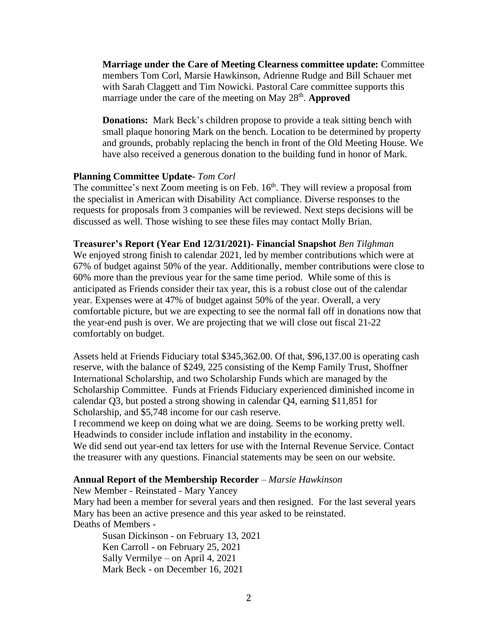**Marriage under the Care of Meeting Clearness committee update:** Committee members Tom Corl, Marsie Hawkinson, Adrienne Rudge and Bill Schauer met with Sarah Claggett and Tim Nowicki. Pastoral Care committee supports this marriage under the care of the meeting on May 28<sup>th</sup>. **Approved** 

**Donations:** Mark Beck's children propose to provide a teak sitting bench with small plaque honoring Mark on the bench. Location to be determined by property and grounds, probably replacing the bench in front of the Old Meeting House. We have also received a generous donation to the building fund in honor of Mark.

#### **Planning Committee Update-** *Tom Corl*

The committee's next Zoom meeting is on Feb.  $16<sup>th</sup>$ . They will review a proposal from the specialist in American with Disability Act compliance. Diverse responses to the requests for proposals from 3 companies will be reviewed. Next steps decisions will be discussed as well. Those wishing to see these files may contact Molly Brian.

**Treasurer's Report (Year End 12/31/2021)- Financial Snapshot** *Ben Tilghman* 

We enjoyed strong finish to calendar 2021, led by member contributions which were at 67% of budget against 50% of the year. Additionally, member contributions were close to 60% more than the previous year for the same time period. While some of this is anticipated as Friends consider their tax year, this is a robust close out of the calendar year. Expenses were at 47% of budget against 50% of the year. Overall, a very comfortable picture, but we are expecting to see the normal fall off in donations now that the year-end push is over. We are projecting that we will close out fiscal 21-22 comfortably on budget.

Assets held at Friends Fiduciary total \$345,362.00. Of that, \$96,137.00 is operating cash reserve, with the balance of \$249, 225 consisting of the Kemp Family Trust, Shoffner International Scholarship, and two Scholarship Funds which are managed by the Scholarship Committee. Funds at Friends Fiduciary experienced diminished income in calendar Q3, but posted a strong showing in calendar Q4, earning \$11,851 for Scholarship, and \$5,748 income for our cash reserve.

I recommend we keep on doing what we are doing. Seems to be working pretty well. Headwinds to consider include inflation and instability in the economy.

We did send out year-end tax letters for use with the Internal Revenue Service. Contact the treasurer with any questions. Financial statements may be seen on our website.

#### **Annual Report of the Membership Recorder** – *Marsie Hawkinson*

New Member - Reinstated - Mary Yancey

Mary had been a member for several years and then resigned. For the last several years Mary has been an active presence and this year asked to be reinstated. Deaths of Members -

Susan Dickinson - on February 13, 2021 Ken Carroll - on February 25, 2021 Sally Vermilye – on April 4, 2021 Mark Beck - on December 16, 2021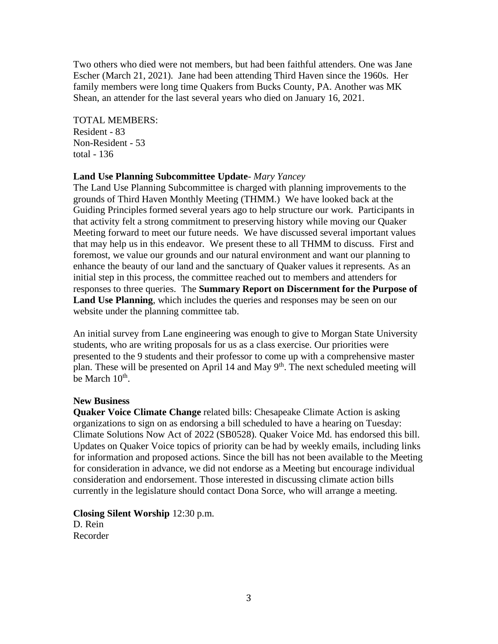Two others who died were not members, but had been faithful attenders. One was Jane Escher (March 21, 2021). Jane had been attending Third Haven since the 1960s. Her family members were long time Quakers from Bucks County, PA. Another was MK Shean, an attender for the last several years who died on January 16, 2021.

TOTAL MEMBERS: Resident - 83 Non-Resident - 53 total - 136

#### **Land Use Planning Subcommittee Update***- Mary Yancey*

The Land Use Planning Subcommittee is charged with planning improvements to the grounds of Third Haven Monthly Meeting (THMM.) We have looked back at the Guiding Principles formed several years ago to help structure our work. Participants in that activity felt a strong commitment to preserving history while moving our Quaker Meeting forward to meet our future needs. We have discussed several important values that may help us in this endeavor. We present these to all THMM to discuss. First and foremost, we value our grounds and our natural environment and want our planning to enhance the beauty of our land and the sanctuary of Quaker values it represents. As an initial step in this process, the committee reached out to members and attenders for responses to three queries. The **Summary Report on Discernment for the Purpose of Land Use Planning**, which includes the queries and responses may be seen on our website under the planning committee tab.

An initial survey from Lane engineering was enough to give to Morgan State University students, who are writing proposals for us as a class exercise. Our priorities were presented to the 9 students and their professor to come up with a comprehensive master plan. These will be presented on April 14 and May  $9<sup>th</sup>$ . The next scheduled meeting will be March  $10^{\text{th}}$ .

#### **New Business**

**Quaker Voice Climate Change** related bills: Chesapeake Climate Action is asking organizations to sign on as endorsing a bill scheduled to have a hearing on Tuesday: Climate Solutions Now Act of 2022 (SB0528). Quaker Voice Md. has endorsed this bill. Updates on Quaker Voice topics of priority can be had by weekly emails, including links for information and proposed actions. Since the bill has not been available to the Meeting for consideration in advance, we did not endorse as a Meeting but encourage individual consideration and endorsement. Those interested in discussing climate action bills currently in the legislature should contact Dona Sorce, who will arrange a meeting.

**Closing Silent Worship** 12:30 p.m. D. Rein Recorder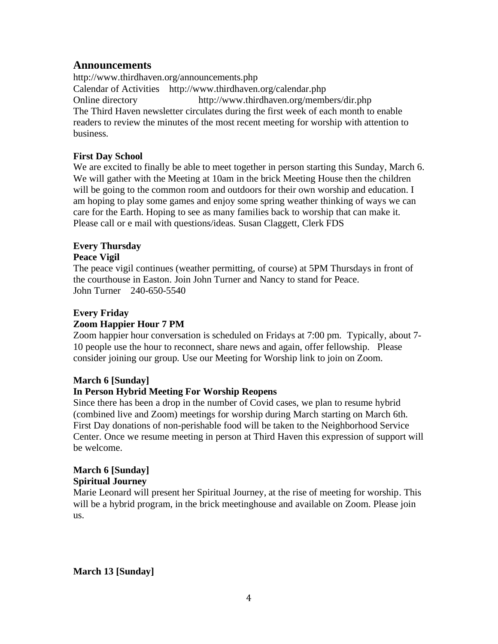#### **Announcements**

<http://www.thirdhaven.org/announcements.php> Calendar of Activities <http://www.thirdhaven.org/calendar.php> Online directory <http://www.thirdhaven.org/members/dir.php> The Third Haven newsletter circulates during the first week of each month to enable readers to review the minutes of the most recent meeting for worship with attention to business.

#### **First Day School**

We are excited to finally be able to meet together in person starting this Sunday, March 6. We will gather with the Meeting at 10am in the brick Meeting House then the children will be going to the common room and outdoors for their own worship and education. I am hoping to play some games and enjoy some spring weather thinking of ways we can care for the Earth. Hoping to see as many families back to worship that can make it. Please call or e mail with questions/ideas. Susan Claggett, Clerk FDS

### **Every Thursday**

#### **Peace Vigil**

The peace vigil continues (weather permitting, of course) at 5PM Thursdays in front of the courthouse in Easton. Join John Turner and Nancy to stand for Peace. John Turner 240-650-5540

### **Every Friday**

#### **Zoom Happier Hour 7 PM**

Zoom happier hour conversation is scheduled on Fridays at 7:00 pm. Typically, about 7- 10 people use the hour to reconnect, share news and again, offer fellowship. Please consider joining our group. Use our Meeting for Worship link to join on Zoom.

#### **March 6 [Sunday]**

### **In Person Hybrid Meeting For Worship Reopens**

Since there has been a drop in the number of Covid cases, we plan to resume hybrid (combined live and Zoom) meetings for worship during March starting on March 6th. First Day donations of non-perishable food will be taken to the Neighborhood Service Center. Once we resume meeting in person at Third Haven this expression of support will be welcome.

# **March 6 [Sunday]**

#### **Spiritual Journey**

Marie Leonard will present her Spiritual Journey, at the rise of meeting for worship. This will be a hybrid program, in the brick meetinghouse and available on Zoom. Please join us.

**March 13 [Sunday]**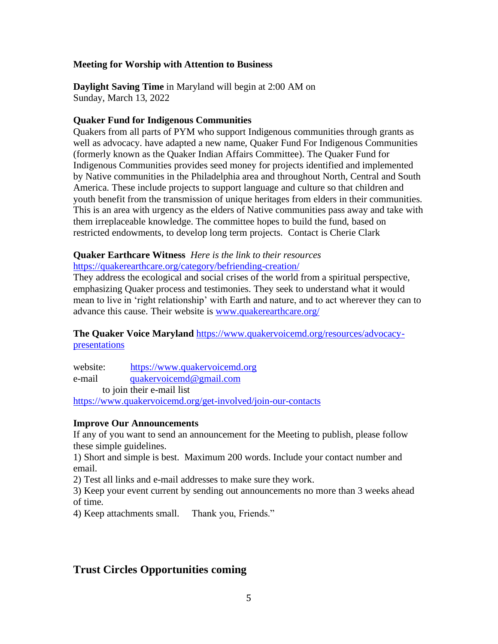#### **Meeting for Worship with Attention to Business**

**Daylight Saving Time** in Maryland will begin at 2:00 AM on Sunday, March 13, 2022

#### **Quaker Fund for Indigenous Communities**

Quakers from all parts of PYM who support Indigenous communities through grants as well as advocacy. have adapted a new name, Quaker Fund For Indigenous Communities (formerly known as the Quaker Indian Affairs Committee). The Quaker Fund for Indigenous Communities provides seed money for projects identified and implemented by Native communities in the Philadelphia area and throughout North, Central and South America. These include projects to support language and culture so that children and youth benefit from the transmission of unique heritages from elders in their communities. This is an area with urgency as the elders of Native communities pass away and take with them irreplaceable knowledge. The committee hopes to build the fund, based on restricted endowments, to develop long term projects. Contact is Cherie Clark

# **Quaker Earthcare Witness** *Here is the link to their resources*

<https://quakerearthcare.org/category/befriending-creation/>

They address the ecological and social crises of the world from a spiritual perspective, emphasizing Quaker process and testimonies. They seek to understand what it would mean to live in 'right relationship' with Earth and nature, and to act wherever they can to advance this cause. Their website is [www.quakerearthcare.org/](http://www.quakerearthcare.org/)

### **The Quaker Voice Maryland** [https://www.quakervoicemd.org/resources/advocacy](https://www.quakervoicemd.org/resources/advocacy-presentations)[presentations](https://www.quakervoicemd.org/resources/advocacy-presentations)

website: [https://www.quakervoicemd.org](https://www.quakervoicemd.org/) e-mail [quakervoicemd@gmail.com](mailto:quakervoicemd@gmail.com) to join their e-mail list <https://www.quakervoicemd.org/get-involved/join-our-contacts>

#### **Improve Our Announcements**

If any of you want to send an announcement for the Meeting to publish, please follow these simple guidelines.

1) Short and simple is best. Maximum 200 words. Include your contact number and email.

2) Test all links and e-mail addresses to make sure they work.

3) Keep your event current by sending out announcements no more than 3 weeks ahead of time.

4) Keep attachments small. Thank you, Friends."

# **Trust Circles Opportunities coming**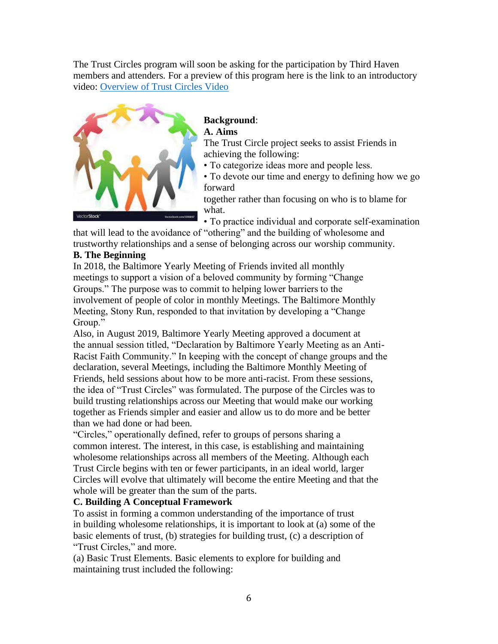The Trust Circles program will soon be asking for the participation by Third Haven members and attenders. For a preview of this program here is the link to an introductory video: [Overview of Trust Circles Video](https://youtu.be/0p-uAs_UKrk)



#### **Background**: **A. Aims**

The Trust Circle project seeks to assist Friends in achieving the following:

• To categorize ideas more and people less.

• To devote our time and energy to defining how we go forward

together rather than focusing on who is to blame for what.

• To practice individual and corporate self-examination

that will lead to the avoidance of "othering" and the building of wholesome and trustworthy relationships and a sense of belonging across our worship community.

### **B. The Beginning**

In 2018, the Baltimore Yearly Meeting of Friends invited all monthly meetings to support a vision of a beloved community by forming "Change Groups." The purpose was to commit to helping lower barriers to the involvement of people of color in monthly Meetings. The Baltimore Monthly Meeting, Stony Run, responded to that invitation by developing a "Change Group."

Also, in August 2019, Baltimore Yearly Meeting approved a document at the annual session titled, "Declaration by Baltimore Yearly Meeting as an Anti-Racist Faith Community." In keeping with the concept of change groups and the declaration, several Meetings, including the Baltimore Monthly Meeting of Friends, held sessions about how to be more anti-racist. From these sessions, the idea of "Trust Circles" was formulated. The purpose of the Circles was to build trusting relationships across our Meeting that would make our working together as Friends simpler and easier and allow us to do more and be better than we had done or had been.

"Circles," operationally defined, refer to groups of persons sharing a common interest. The interest, in this case, is establishing and maintaining wholesome relationships across all members of the Meeting. Although each Trust Circle begins with ten or fewer participants, in an ideal world, larger Circles will evolve that ultimately will become the entire Meeting and that the whole will be greater than the sum of the parts.

### **C. Building A Conceptual Framework**

To assist in forming a common understanding of the importance of trust in building wholesome relationships, it is important to look at (a) some of the basic elements of trust, (b) strategies for building trust, (c) a description of "Trust Circles," and more.

(a) Basic Trust Elements. Basic elements to explore for building and maintaining trust included the following: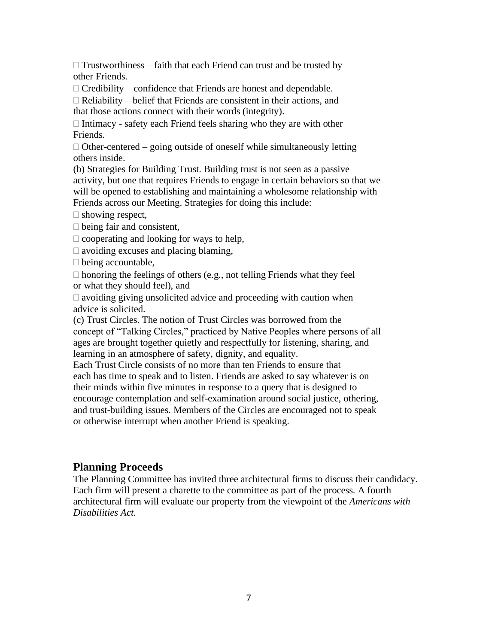$\Box$  Trustworthiness – faith that each Friend can trust and be trusted by other Friends.

 $\Box$  Credibility – confidence that Friends are honest and dependable.

 $\Box$  Reliability – belief that Friends are consistent in their actions, and that those actions connect with their words (integrity).

 $\Box$  Intimacy - safety each Friend feels sharing who they are with other Friends.

 $\Box$  Other-centered – going outside of oneself while simultaneously letting others inside.

(b) Strategies for Building Trust. Building trust is not seen as a passive activity, but one that requires Friends to engage in certain behaviors so that we will be opened to establishing and maintaining a wholesome relationship with Friends across our Meeting. Strategies for doing this include:

 $\square$  showing respect,

 $\Box$  being fair and consistent,

 $\Box$  cooperating and looking for ways to help,

 $\Box$  avoiding excuses and placing blaming,

 $\square$  being accountable,

 $\Box$  honoring the feelings of others (e.g., not telling Friends what they feel or what they should feel), and

 $\Box$  avoiding giving unsolicited advice and proceeding with caution when advice is solicited.

(c) Trust Circles. The notion of Trust Circles was borrowed from the concept of "Talking Circles," practiced by Native Peoples where persons of all ages are brought together quietly and respectfully for listening, sharing, and learning in an atmosphere of safety, dignity, and equality.

Each Trust Circle consists of no more than ten Friends to ensure that each has time to speak and to listen. Friends are asked to say whatever is on their minds within five minutes in response to a query that is designed to encourage contemplation and self-examination around social justice, othering, and trust-building issues. Members of the Circles are encouraged not to speak or otherwise interrupt when another Friend is speaking.

# **Planning Proceeds**

The Planning Committee has invited three architectural firms to discuss their candidacy. Each firm will present a charette to the committee as part of the process. A fourth architectural firm will evaluate our property from the viewpoint of the *Americans with Disabilities Act.*